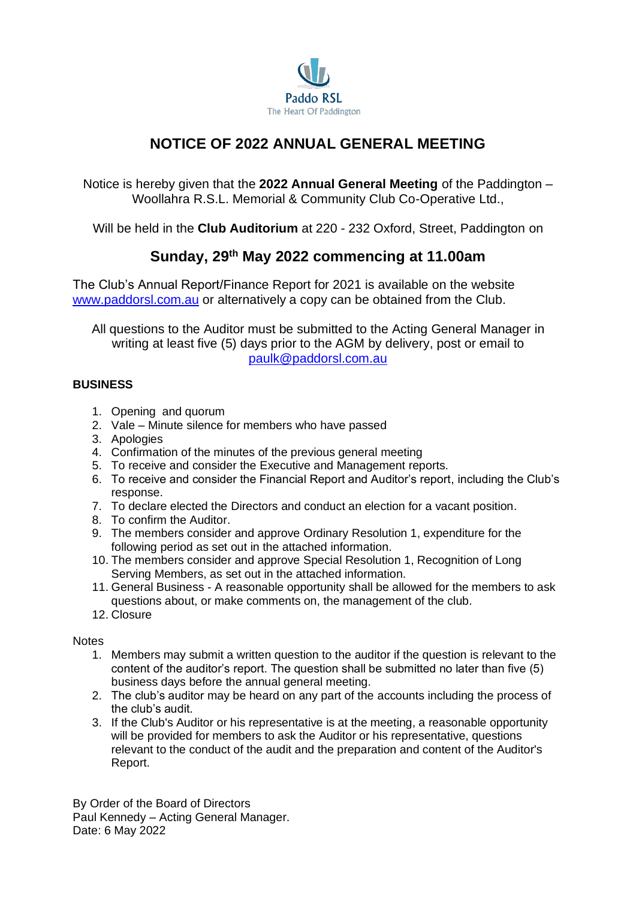

# **NOTICE OF 2022 ANNUAL GENERAL MEETING**

Notice is hereby given that the **2022 Annual General Meeting** of the Paddington – Woollahra R.S.L. Memorial & Community Club Co-Operative Ltd.,

Will be held in the **Club Auditorium** at 220 - 232 Oxford, Street, Paddington on

## **Sunday, 29 th May 2022 commencing at 11.00am**

The Club's Annual Report/Finance Report for 2021 is available on the website [www.paddorsl.com.au](http://www.paddorsl.com.au/) or alternatively a copy can be obtained from the Club.

All questions to the Auditor must be submitted to the Acting General Manager in writing at least five (5) days prior to the AGM by delivery, post or email to [paulk@paddorsl.com.au](file:///C:/Users/Nick%20Penny/Documents/.%20%20%20%20%20%20%20%20%20RSL-PADDO/.%20%20%20MEETINGS/220529%20AGM/paulk@paddorsl.com.au)

## **BUSINESS**

- 1. Opening and quorum
- 2. Vale Minute silence for members who have passed
- 3. Apologies
- 4. Confirmation of the minutes of the previous general meeting
- 5. To receive and consider the Executive and Management reports.
- 6. To receive and consider the Financial Report and Auditor's report, including the Club's response.
- 7. To declare elected the Directors and conduct an election for a vacant position.
- 8. To confirm the Auditor.
- 9. The members consider and approve Ordinary Resolution 1, expenditure for the following period as set out in the attached information.
- 10. The members consider and approve Special Resolution 1, Recognition of Long Serving Members, as set out in the attached information.
- 11. General Business A reasonable opportunity shall be allowed for the members to ask questions about, or make comments on, the management of the club.
- 12. Closure

### **Notes**

- 1. Members may submit a written question to the auditor if the question is relevant to the content of the auditor's report. The question shall be submitted no later than five (5) business days before the annual general meeting.
- 2. The club's auditor may be heard on any part of the accounts including the process of the club's audit.
- 3. If the Club's Auditor or his representative is at the meeting, a reasonable opportunity will be provided for members to ask the Auditor or his representative, questions relevant to the conduct of the audit and the preparation and content of the Auditor's Report.

By Order of the Board of Directors Paul Kennedy – Acting General Manager. Date: 6 May 2022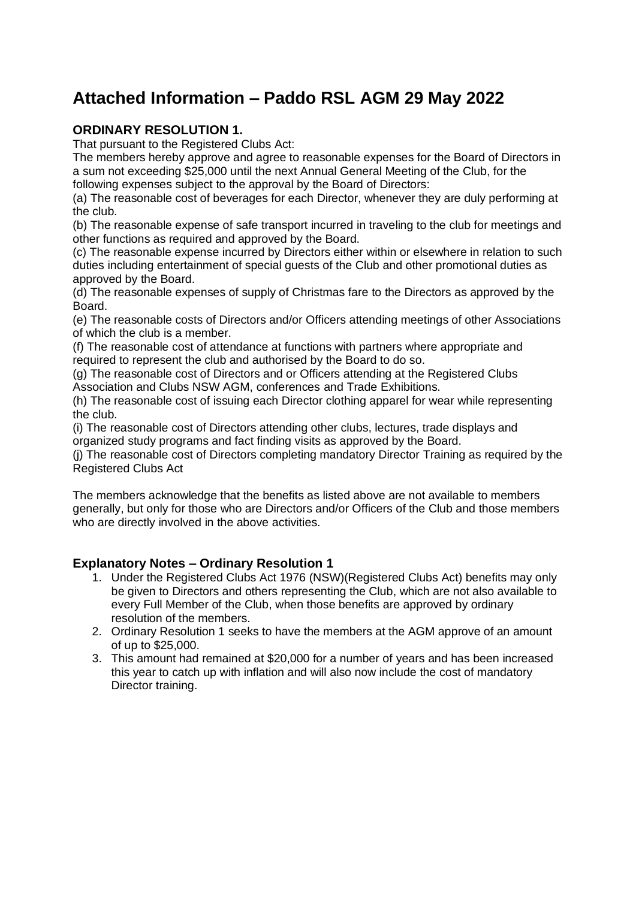# **Attached Information – Paddo RSL AGM 29 May 2022**

## **ORDINARY RESOLUTION 1.**

That pursuant to the Registered Clubs Act:

The members hereby approve and agree to reasonable expenses for the Board of Directors in a sum not exceeding \$25,000 until the next Annual General Meeting of the Club, for the following expenses subject to the approval by the Board of Directors:

(a) The reasonable cost of beverages for each Director, whenever they are duly performing at the club.

(b) The reasonable expense of safe transport incurred in traveling to the club for meetings and other functions as required and approved by the Board.

(c) The reasonable expense incurred by Directors either within or elsewhere in relation to such duties including entertainment of special guests of the Club and other promotional duties as approved by the Board.

(d) The reasonable expenses of supply of Christmas fare to the Directors as approved by the Board.

(e) The reasonable costs of Directors and/or Officers attending meetings of other Associations of which the club is a member.

(f) The reasonable cost of attendance at functions with partners where appropriate and required to represent the club and authorised by the Board to do so.

(g) The reasonable cost of Directors and or Officers attending at the Registered Clubs Association and Clubs NSW AGM, conferences and Trade Exhibitions.

(h) The reasonable cost of issuing each Director clothing apparel for wear while representing the club.

(i) The reasonable cost of Directors attending other clubs, lectures, trade displays and organized study programs and fact finding visits as approved by the Board.

(j) The reasonable cost of Directors completing mandatory Director Training as required by the Registered Clubs Act

The members acknowledge that the benefits as listed above are not available to members generally, but only for those who are Directors and/or Officers of the Club and those members who are directly involved in the above activities.

## **Explanatory Notes – Ordinary Resolution 1**

- 1. Under the Registered Clubs Act 1976 (NSW)(Registered Clubs Act) benefits may only be given to Directors and others representing the Club, which are not also available to every Full Member of the Club, when those benefits are approved by ordinary resolution of the members.
- 2. Ordinary Resolution 1 seeks to have the members at the AGM approve of an amount of up to \$25,000.
- 3. This amount had remained at \$20,000 for a number of years and has been increased this year to catch up with inflation and will also now include the cost of mandatory Director training.